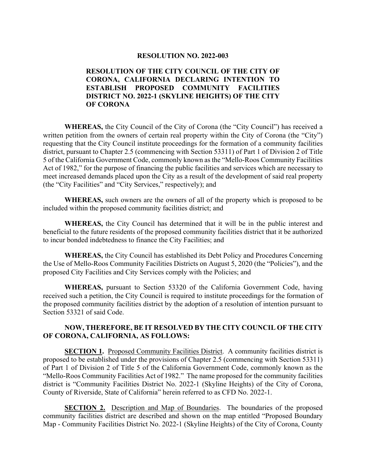#### **RESOLUTION NO. 2022-003**

### **RESOLUTION OF THE CITY COUNCIL OF THE CITY OF CORONA, CALIFORNIA DECLARING INTENTION TO ESTABLISH PROPOSED COMMUNITY FACILITIES DISTRICT NO. 2022-1 (SKYLINE HEIGHTS) OF THE CITY OF CORONA**

**WHEREAS,** the City Council of the City of Corona (the "City Council") has received a written petition from the owners of certain real property within the City of Corona (the "City") requesting that the City Council institute proceedings for the formation of a community facilities district, pursuant to Chapter 2.5 (commencing with Section 53311) of Part 1 of Division 2 of Title 5 of the California Government Code, commonly known as the "Mello-Roos Community Facilities Act of 1982," for the purpose of financing the public facilities and services which are necessary to meet increased demands placed upon the City as a result of the development of said real property (the "City Facilities" and "City Services," respectively); and

**WHEREAS,** such owners are the owners of all of the property which is proposed to be included within the proposed community facilities district; and

**WHEREAS,** the City Council has determined that it will be in the public interest and beneficial to the future residents of the proposed community facilities district that it be authorized to incur bonded indebtedness to finance the City Facilities; and

**WHEREAS,** the City Council has established its Debt Policy and Procedures Concerning the Use of Mello-Roos Community Facilities Districts on August 5, 2020 (the "Policies"), and the proposed City Facilities and City Services comply with the Policies; and

**WHEREAS,** pursuant to Section 53320 of the California Government Code, having received such a petition, the City Council is required to institute proceedings for the formation of the proposed community facilities district by the adoption of a resolution of intention pursuant to Section 53321 of said Code.

### **NOW, THEREFORE, BE IT RESOLVED BY THE CITY COUNCIL OF THE CITY OF CORONA, CALIFORNIA, AS FOLLOWS:**

**SECTION 1.** Proposed Community Facilities District. A community facilities district is proposed to be established under the provisions of Chapter 2.5 (commencing with Section 53311) of Part 1 of Division 2 of Title 5 of the California Government Code, commonly known as the "Mello-Roos Community Facilities Act of 1982." The name proposed for the community facilities district is "Community Facilities District No. 2022-1 (Skyline Heights) of the City of Corona, County of Riverside, State of California" herein referred to as CFD No. 2022-1.

**SECTION 2.** Description and Map of Boundaries. The boundaries of the proposed community facilities district are described and shown on the map entitled "Proposed Boundary Map - Community Facilities District No. 2022-1 (Skyline Heights) of the City of Corona, County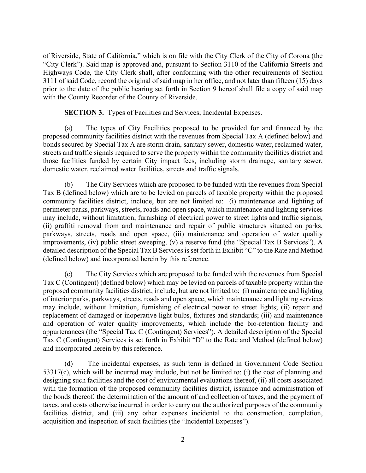of Riverside, State of California," which is on file with the City Clerk of the City of Corona (the "City Clerk"). Said map is approved and, pursuant to Section 3110 of the California Streets and Highways Code, the City Clerk shall, after conforming with the other requirements of Section 3111 of said Code, record the original of said map in her office, and not later than fifteen (15) days prior to the date of the public hearing set forth in Section 9 hereof shall file a copy of said map with the County Recorder of the County of Riverside.

#### **SECTION 3.** Types of Facilities and Services; Incidental Expenses.

(a) The types of City Facilities proposed to be provided for and financed by the proposed community facilities district with the revenues from Special Tax A (defined below) and bonds secured by Special Tax A are storm drain, sanitary sewer, domestic water, reclaimed water, streets and traffic signals required to serve the property within the community facilities district and those facilities funded by certain City impact fees, including storm drainage, sanitary sewer, domestic water, reclaimed water facilities, streets and traffic signals.

(b) The City Services which are proposed to be funded with the revenues from Special Tax B (defined below) which are to be levied on parcels of taxable property within the proposed community facilities district, include, but are not limited to: (i) maintenance and lighting of perimeter parks, parkways, streets, roads and open space, which maintenance and lighting services may include, without limitation, furnishing of electrical power to street lights and traffic signals, (ii) graffiti removal from and maintenance and repair of public structures situated on parks, parkways, streets, roads and open space, (iii) maintenance and operation of water quality improvements, (iv) public street sweeping, (v) a reserve fund (the "Special Tax B Services"). A detailed description of the Special Tax B Services is set forth in Exhibit "C" to the Rate and Method (defined below) and incorporated herein by this reference.

(c) The City Services which are proposed to be funded with the revenues from Special Tax C (Contingent) (defined below) which may be levied on parcels of taxable property within the proposed community facilities district, include, but are not limited to: (i) maintenance and lighting of interior parks, parkways, streets, roads and open space, which maintenance and lighting services may include, without limitation, furnishing of electrical power to street lights; (ii) repair and replacement of damaged or inoperative light bulbs, fixtures and standards; (iii) and maintenance and operation of water quality improvements, which include the bio-retention facility and appurtenances (the "Special Tax C (Contingent) Services"). A detailed description of the Special Tax C (Contingent) Services is set forth in Exhibit "D" to the Rate and Method (defined below) and incorporated herein by this reference.

(d) The incidental expenses, as such term is defined in Government Code Section 53317(c), which will be incurred may include, but not be limited to: (i) the cost of planning and designing such facilities and the cost of environmental evaluations thereof, (ii) all costs associated with the formation of the proposed community facilities district, issuance and administration of the bonds thereof, the determination of the amount of and collection of taxes, and the payment of taxes, and costs otherwise incurred in order to carry out the authorized purposes of the community facilities district, and (iii) any other expenses incidental to the construction, completion, acquisition and inspection of such facilities (the "Incidental Expenses").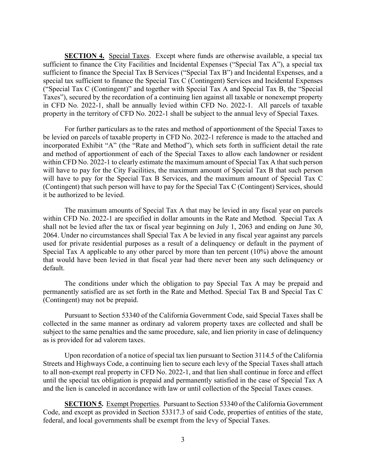**SECTION 4.** Special Taxes. Except where funds are otherwise available, a special tax sufficient to finance the City Facilities and Incidental Expenses ("Special Tax A"), a special tax sufficient to finance the Special Tax B Services ("Special Tax B") and Incidental Expenses, and a special tax sufficient to finance the Special Tax C (Contingent) Services and Incidental Expenses ("Special Tax C (Contingent)" and together with Special Tax A and Special Tax B, the "Special Taxes"), secured by the recordation of a continuing lien against all taxable or nonexempt property in CFD No. 2022-1, shall be annually levied within CFD No. 2022-1. All parcels of taxable property in the territory of CFD No. 2022-1 shall be subject to the annual levy of Special Taxes.

For further particulars as to the rates and method of apportionment of the Special Taxes to be levied on parcels of taxable property in CFD No. 2022-1 reference is made to the attached and incorporated Exhibit "A" (the "Rate and Method"), which sets forth in sufficient detail the rate and method of apportionment of each of the Special Taxes to allow each landowner or resident within CFD No. 2022-1 to clearly estimate the maximum amount of Special Tax A that such person will have to pay for the City Facilities, the maximum amount of Special Tax B that such person will have to pay for the Special Tax B Services, and the maximum amount of Special Tax C (Contingent) that such person will have to pay for the Special Tax C (Contingent) Services, should it be authorized to be levied.

The maximum amounts of Special Tax A that may be levied in any fiscal year on parcels within CFD No. 2022-1 are specified in dollar amounts in the Rate and Method. Special Tax A shall not be levied after the tax or fiscal year beginning on July 1, 2063 and ending on June 30, 2064. Under no circumstances shall Special Tax A be levied in any fiscal year against any parcels used for private residential purposes as a result of a delinquency or default in the payment of Special Tax A applicable to any other parcel by more than ten percent (10%) above the amount that would have been levied in that fiscal year had there never been any such delinquency or default.

The conditions under which the obligation to pay Special Tax A may be prepaid and permanently satisfied are as set forth in the Rate and Method. Special Tax B and Special Tax C (Contingent) may not be prepaid.

Pursuant to Section 53340 of the California Government Code, said Special Taxes shall be collected in the same manner as ordinary ad valorem property taxes are collected and shall be subject to the same penalties and the same procedure, sale, and lien priority in case of delinquency as is provided for ad valorem taxes.

Upon recordation of a notice of special tax lien pursuant to Section 3114.5 of the California Streets and Highways Code, a continuing lien to secure each levy of the Special Taxes shall attach to all non-exempt real property in CFD No. 2022-1, and that lien shall continue in force and effect until the special tax obligation is prepaid and permanently satisfied in the case of Special Tax A and the lien is canceled in accordance with law or until collection of the Special Taxes ceases.

**SECTION 5.** Exempt Properties. Pursuant to Section 53340 of the California Government Code, and except as provided in Section 53317.3 of said Code, properties of entities of the state, federal, and local governments shall be exempt from the levy of Special Taxes.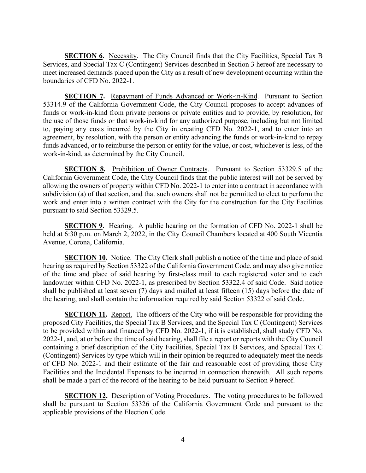**SECTION 6.** Necessity. The City Council finds that the City Facilities, Special Tax B Services, and Special Tax C (Contingent) Services described in Section 3 hereof are necessary to meet increased demands placed upon the City as a result of new development occurring within the boundaries of CFD No. 2022-1.

**SECTION 7.** Repayment of Funds Advanced or Work-in-Kind. Pursuant to Section 53314.9 of the California Government Code, the City Council proposes to accept advances of funds or work-in-kind from private persons or private entities and to provide, by resolution, for the use of those funds or that work-in-kind for any authorized purpose, including but not limited to, paying any costs incurred by the City in creating CFD No. 2022-1, and to enter into an agreement, by resolution, with the person or entity advancing the funds or work-in-kind to repay funds advanced, or to reimburse the person or entity for the value, or cost, whichever is less, of the work-in-kind, as determined by the City Council.

**SECTION 8.** Prohibition of Owner Contracts. Pursuant to Section 53329.5 of the California Government Code, the City Council finds that the public interest will not be served by allowing the owners of property within CFD No. 2022-1 to enter into a contract in accordance with subdivision (a) of that section, and that such owners shall not be permitted to elect to perform the work and enter into a written contract with the City for the construction for the City Facilities pursuant to said Section 53329.5.

**SECTION 9.** Hearing. A public hearing on the formation of CFD No. 2022-1 shall be held at 6:30 p.m. on March 2, 2022, in the City Council Chambers located at 400 South Vicentia Avenue, Corona, California.

**SECTION 10.** Notice. The City Clerk shall publish a notice of the time and place of said hearing as required by Section 53322 of the California Government Code, and may also give notice of the time and place of said hearing by first-class mail to each registered voter and to each landowner within CFD No. 2022-1, as prescribed by Section 53322.4 of said Code. Said notice shall be published at least seven (7) days and mailed at least fifteen (15) days before the date of the hearing, and shall contain the information required by said Section 53322 of said Code.

**SECTION 11.** Report. The officers of the City who will be responsible for providing the proposed City Facilities, the Special Tax B Services, and the Special Tax C (Contingent) Services to be provided within and financed by CFD No. 2022-1, if it is established, shall study CFD No. 2022-1, and, at or before the time of said hearing, shall file a report or reports with the City Council containing a brief description of the City Facilities, Special Tax B Services, and Special Tax C (Contingent) Services by type which will in their opinion be required to adequately meet the needs of CFD No. 2022-1 and their estimate of the fair and reasonable cost of providing those City Facilities and the Incidental Expenses to be incurred in connection therewith. All such reports shall be made a part of the record of the hearing to be held pursuant to Section 9 hereof.

**SECTION 12.** Description of Voting Procedures. The voting procedures to be followed shall be pursuant to Section 53326 of the California Government Code and pursuant to the applicable provisions of the Election Code.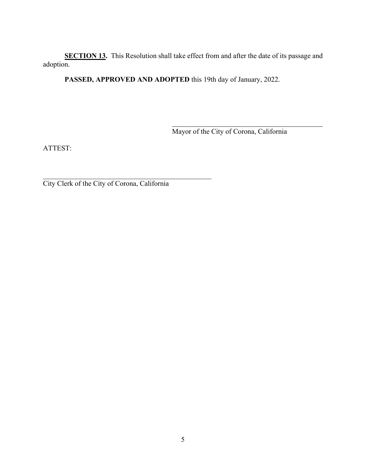**SECTION 13.** This Resolution shall take effect from and after the date of its passage and adoption.

**PASSED, APPROVED AND ADOPTED** this 19th day of January, 2022.

 $\overline{a}$ 

Mayor of the City of Corona, California

ATTEST:

City Clerk of the City of Corona, California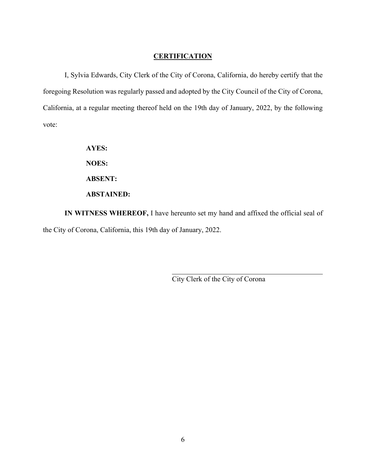#### **CERTIFICATION**

I, Sylvia Edwards, City Clerk of the City of Corona, California, do hereby certify that the foregoing Resolution was regularly passed and adopted by the City Council of the City of Corona, California, at a regular meeting thereof held on the 19th day of January, 2022, by the following vote:

**AYES:** 

**NOES:** 

**ABSENT:** 

#### **ABSTAINED:**

**IN WITNESS WHEREOF,** I have hereunto set my hand and affixed the official seal of the City of Corona, California, this 19th day of January, 2022.

l

City Clerk of the City of Corona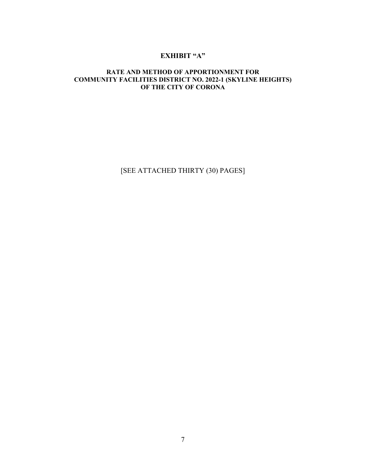### **EXHIBIT "A"**

#### **RATE AND METHOD OF APPORTIONMENT FOR COMMUNITY FACILITIES DISTRICT NO. 2022-1 (SKYLINE HEIGHTS) OF THE CITY OF CORONA**

[SEE ATTACHED THIRTY (30) PAGES]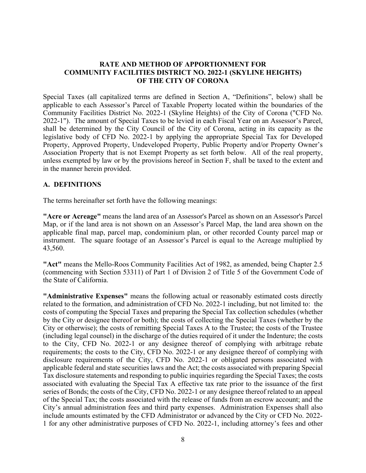#### **RATE AND METHOD OF APPORTIONMENT FOR COMMUNITY FACILITIES DISTRICT NO. 2022-1 (SKYLINE HEIGHTS) OF THE CITY OF CORONA**

Special Taxes (all capitalized terms are defined in Section A, "Definitions", below) shall be applicable to each Assessor's Parcel of Taxable Property located within the boundaries of the Community Facilities District No. 2022-1 (Skyline Heights) of the City of Corona ("CFD No. 2022-1"). The amount of Special Taxes to be levied in each Fiscal Year on an Assessor's Parcel, shall be determined by the City Council of the City of Corona, acting in its capacity as the legislative body of CFD No. 2022-1 by applying the appropriate Special Tax for Developed Property, Approved Property, Undeveloped Property, Public Property and/or Property Owner's Association Property that is not Exempt Property as set forth below. All of the real property, unless exempted by law or by the provisions hereof in Section F, shall be taxed to the extent and in the manner herein provided.

#### **A. DEFINITIONS**

The terms hereinafter set forth have the following meanings:

**"Acre or Acreage"** means the land area of an Assessor's Parcel as shown on an Assessor's Parcel Map, or if the land area is not shown on an Assessor's Parcel Map, the land area shown on the applicable final map, parcel map, condominium plan, or other recorded County parcel map or instrument. The square footage of an Assessor's Parcel is equal to the Acreage multiplied by 43,560.

**"Act"** means the Mello-Roos Community Facilities Act of 1982, as amended, being Chapter 2.5 (commencing with Section 53311) of Part 1 of Division 2 of Title 5 of the Government Code of the State of California.

**"Administrative Expenses"** means the following actual or reasonably estimated costs directly related to the formation, and administration of CFD No. 2022-1 including, but not limited to: the costs of computing the Special Taxes and preparing the Special Tax collection schedules (whether by the City or designee thereof or both); the costs of collecting the Special Taxes (whether by the City or otherwise); the costs of remitting Special Taxes A to the Trustee; the costs of the Trustee (including legal counsel) in the discharge of the duties required of it under the Indenture; the costs to the City, CFD No. 2022-1 or any designee thereof of complying with arbitrage rebate requirements; the costs to the City, CFD No. 2022-1 or any designee thereof of complying with disclosure requirements of the City, CFD No. 2022-1 or obligated persons associated with applicable federal and state securities laws and the Act; the costs associated with preparing Special Tax disclosure statements and responding to public inquiries regarding the Special Taxes; the costs associated with evaluating the Special Tax A effective tax rate prior to the issuance of the first series of Bonds; the costs of the City, CFD No. 2022-1 or any designee thereof related to an appeal of the Special Tax; the costs associated with the release of funds from an escrow account; and the City's annual administration fees and third party expenses. Administration Expenses shall also include amounts estimated by the CFD Administrator or advanced by the City or CFD No. 2022- 1 for any other administrative purposes of CFD No. 2022-1, including attorney's fees and other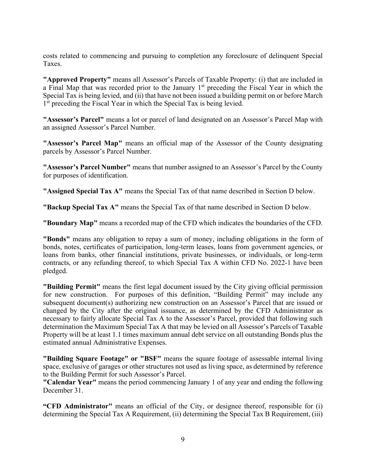costs related to commencing and pursuing to completion any foreclosure of delinquent Special Taxes.

**"Approved Property"** means all Assessor's Parcels of Taxable Property: (i) that are included in a Final Map that was recorded prior to the January 1<sup>st</sup> preceding the Fiscal Year in which the Special Tax is being levied, and (ii) that have not been issued a building permit on or before March 1<sup>st</sup> preceding the Fiscal Year in which the Special Tax is being levied.

**"Assessor's Parcel"** means a lot or parcel of land designated on an Assessor's Parcel Map with an assigned Assessor's Parcel Number.

**"Assessor's Parcel Map"** means an official map of the Assessor of the County designating parcels by Assessor's Parcel Number.

**"Assessor's Parcel Number"** means that number assigned to an Assessor's Parcel by the County for purposes of identification.

**"Assigned Special Tax A"** means the Special Tax of that name described in Section D below.

**"Backup Special Tax A"** means the Special Tax of that name described in Section D below.

**"Boundary Map"** means a recorded map of the CFD which indicates the boundaries of the CFD.

**"Bonds"** means any obligation to repay a sum of money, including obligations in the form of bonds, notes, certificates of participation, long-term leases, loans from government agencies, or loans from banks, other financial institutions, private businesses, or individuals, or long-term contracts, or any refunding thereof, to which Special Tax A within CFD No. 2022-1 have been pledged.

**"Building Permit"** means the first legal document issued by the City giving official permission for new construction. For purposes of this definition, "Building Permit" may include any subsequent document(s) authorizing new construction on an Assessor's Parcel that are issued or changed by the City after the original issuance, as determined by the CFD Administrator as necessary to fairly allocate Special Tax A to the Assessor's Parcel, provided that following such determination the Maximum Special Tax A that may be levied on all Assessor's Parcels of Taxable Property will be at least 1.1 times maximum annual debt service on all outstanding Bonds plus the estimated annual Administrative Expenses.

**"Building Square Footage" or "BSF"** means the square footage of assessable internal living space, exclusive of garages or other structures not used as living space, as determined by reference to the Building Permit for such Assessor's Parcel.

**"Calendar Year"** means the period commencing January 1 of any year and ending the following December 31.

**"CFD Administrator"** means an official of the City, or designee thereof, responsible for (i) determining the Special Tax A Requirement, (ii) determining the Special Tax B Requirement, (iii)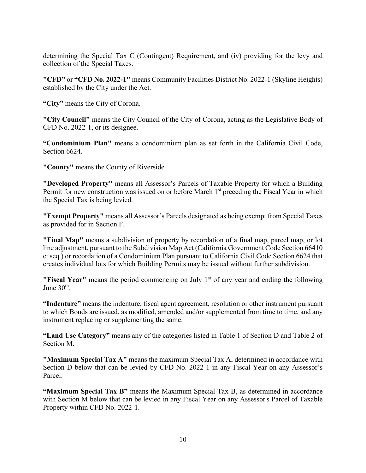determining the Special Tax C (Contingent) Requirement, and (iv) providing for the levy and collection of the Special Taxes.

**"CFD"** or **"CFD No. 2022-1"** means Community Facilities District No. 2022-1 (Skyline Heights) established by the City under the Act.

**"City"** means the City of Corona.

**"City Council"** means the City Council of the City of Corona, acting as the Legislative Body of CFD No. 2022-1, or its designee.

**"Condominium Plan"** means a condominium plan as set forth in the California Civil Code, Section 6624.

**"County"** means the County of Riverside.

**"Developed Property"** means all Assessor's Parcels of Taxable Property for which a Building Permit for new construction was issued on or before March 1<sup>st</sup> preceding the Fiscal Year in which the Special Tax is being levied.

**"Exempt Property"** means all Assessor's Parcels designated as being exempt from Special Taxes as provided for in Section F.

**"Final Map"** means a subdivision of property by recordation of a final map, parcel map, or lot line adjustment, pursuant to the Subdivision Map Act (California Government Code Section 66410 et seq.) or recordation of a Condominium Plan pursuant to California Civil Code Section 6624 that creates individual lots for which Building Permits may be issued without further subdivision.

**"Fiscal Year"** means the period commencing on July 1<sup>st</sup> of any year and ending the following June  $30<sup>th</sup>$ .

**"Indenture"** means the indenture, fiscal agent agreement, resolution or other instrument pursuant to which Bonds are issued, as modified, amended and/or supplemented from time to time, and any instrument replacing or supplementing the same.

**"Land Use Category"** means any of the categories listed in Table 1 of Section D and Table 2 of Section M.

**"Maximum Special Tax A"** means the maximum Special Tax A, determined in accordance with Section D below that can be levied by CFD No. 2022-1 in any Fiscal Year on any Assessor's Parcel.

**"Maximum Special Tax B"** means the Maximum Special Tax B, as determined in accordance with Section M below that can be levied in any Fiscal Year on any Assessor's Parcel of Taxable Property within CFD No. 2022-1.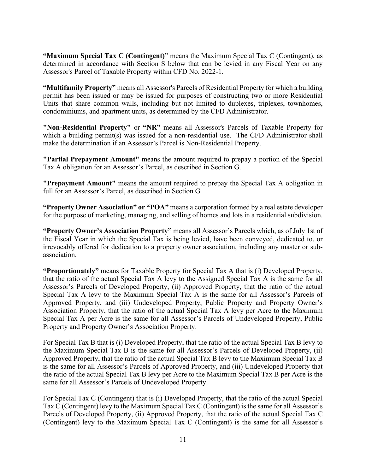**"Maximum Special Tax C (Contingent)**" means the Maximum Special Tax C (Contingent), as determined in accordance with Section S below that can be levied in any Fiscal Year on any Assessor's Parcel of Taxable Property within CFD No. 2022-1.

**"Multifamily Property"** means all Assessor's Parcels of Residential Property for which a building permit has been issued or may be issued for purposes of constructing two or more Residential Units that share common walls, including but not limited to duplexes, triplexes, townhomes, condominiums, and apartment units, as determined by the CFD Administrator.

**"Non-Residential Property"** or **"NR"** means all Assessor's Parcels of Taxable Property for which a building permit(s) was issued for a non-residential use. The CFD Administrator shall make the determination if an Assessor's Parcel is Non-Residential Property.

**"Partial Prepayment Amount"** means the amount required to prepay a portion of the Special Tax A obligation for an Assessor's Parcel, as described in Section G.

**"Prepayment Amount"** means the amount required to prepay the Special Tax A obligation in full for an Assessor's Parcel, as described in Section G.

**"Property Owner Association" or "POA"** means a corporation formed by a real estate developer for the purpose of marketing, managing, and selling of homes and lots in a residential subdivision.

**"Property Owner's Association Property"** means all Assessor's Parcels which, as of July 1st of the Fiscal Year in which the Special Tax is being levied, have been conveyed, dedicated to, or irrevocably offered for dedication to a property owner association, including any master or subassociation.

**"Proportionately"** means for Taxable Property for Special Tax A that is (i) Developed Property, that the ratio of the actual Special Tax A levy to the Assigned Special Tax A is the same for all Assessor's Parcels of Developed Property, (ii) Approved Property, that the ratio of the actual Special Tax A levy to the Maximum Special Tax A is the same for all Assessor's Parcels of Approved Property, and (iii) Undeveloped Property, Public Property and Property Owner's Association Property, that the ratio of the actual Special Tax A levy per Acre to the Maximum Special Tax A per Acre is the same for all Assessor's Parcels of Undeveloped Property, Public Property and Property Owner's Association Property.

For Special Tax B that is (i) Developed Property, that the ratio of the actual Special Tax B levy to the Maximum Special Tax B is the same for all Assessor's Parcels of Developed Property, (ii) Approved Property, that the ratio of the actual Special Tax B levy to the Maximum Special Tax B is the same for all Assessor's Parcels of Approved Property, and (iii) Undeveloped Property that the ratio of the actual Special Tax B levy per Acre to the Maximum Special Tax B per Acre is the same for all Assessor's Parcels of Undeveloped Property.

For Special Tax C (Contingent) that is (i) Developed Property, that the ratio of the actual Special Tax C (Contingent) levy to the Maximum Special Tax C (Contingent) is the same for all Assessor's Parcels of Developed Property, (ii) Approved Property, that the ratio of the actual Special Tax C (Contingent) levy to the Maximum Special Tax C (Contingent) is the same for all Assessor's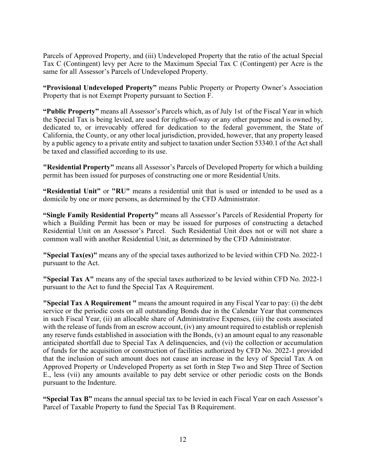Parcels of Approved Property, and (iii) Undeveloped Property that the ratio of the actual Special Tax C (Contingent) levy per Acre to the Maximum Special Tax C (Contingent) per Acre is the same for all Assessor's Parcels of Undeveloped Property.

**"Provisional Undeveloped Property"** means Public Property or Property Owner's Association Property that is not Exempt Property pursuant to Section F.

**"Public Property"** means all Assessor's Parcels which, as of July 1st of the Fiscal Year in which the Special Tax is being levied, are used for rights-of-way or any other purpose and is owned by, dedicated to, or irrevocably offered for dedication to the federal government, the State of California, the County, or any other local jurisdiction, provided, however, that any property leased by a public agency to a private entity and subject to taxation under Section 53340.1 of the Act shall be taxed and classified according to its use.

**"Residential Property"** means all Assessor's Parcels of Developed Property for which a building permit has been issued for purposes of constructing one or more Residential Units.

**"Residential Unit"** or **"RU"** means a residential unit that is used or intended to be used as a domicile by one or more persons, as determined by the CFD Administrator.

**"Single Family Residential Property"** means all Assessor's Parcels of Residential Property for which a Building Permit has been or may be issued for purposes of constructing a detached Residential Unit on an Assessor's Parcel. Such Residential Unit does not or will not share a common wall with another Residential Unit, as determined by the CFD Administrator.

**"Special Tax(es)"** means any of the special taxes authorized to be levied within CFD No. 2022-1 pursuant to the Act.

**"Special Tax A"** means any of the special taxes authorized to be levied within CFD No. 2022-1 pursuant to the Act to fund the Special Tax A Requirement.

**"Special Tax A Requirement "** means the amount required in any Fiscal Year to pay: (i) the debt service or the periodic costs on all outstanding Bonds due in the Calendar Year that commences in such Fiscal Year, (ii) an allocable share of Administrative Expenses, (iii) the costs associated with the release of funds from an escrow account, (iv) any amount required to establish or replenish any reserve funds established in association with the Bonds, (v) an amount equal to any reasonable anticipated shortfall due to Special Tax A delinquencies, and (vi) the collection or accumulation of funds for the acquisition or construction of facilities authorized by CFD No. 2022-1 provided that the inclusion of such amount does not cause an increase in the levy of Special Tax A on Approved Property or Undeveloped Property as set forth in Step Two and Step Three of Section E., less (vii) any amounts available to pay debt service or other periodic costs on the Bonds pursuant to the Indenture.

**"Special Tax B"** means the annual special tax to be levied in each Fiscal Year on each Assessor's Parcel of Taxable Property to fund the Special Tax B Requirement.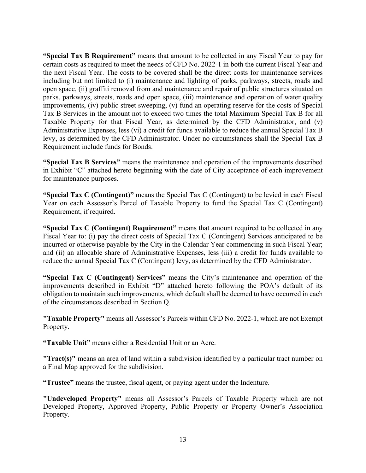**"Special Tax B Requirement"** means that amount to be collected in any Fiscal Year to pay for certain costs as required to meet the needs of CFD No. 2022-1 in both the current Fiscal Year and the next Fiscal Year. The costs to be covered shall be the direct costs for maintenance services including but not limited to (i) maintenance and lighting of parks, parkways, streets, roads and open space, (ii) graffiti removal from and maintenance and repair of public structures situated on parks, parkways, streets, roads and open space, (iii) maintenance and operation of water quality improvements, (iv) public street sweeping, (v) fund an operating reserve for the costs of Special Tax B Services in the amount not to exceed two times the total Maximum Special Tax B for all Taxable Property for that Fiscal Year, as determined by the CFD Administrator, and (v) Administrative Expenses, less (vi) a credit for funds available to reduce the annual Special Tax B levy, as determined by the CFD Administrator. Under no circumstances shall the Special Tax B Requirement include funds for Bonds.

**"Special Tax B Services"** means the maintenance and operation of the improvements described in Exhibit "C" attached hereto beginning with the date of City acceptance of each improvement for maintenance purposes.

**"Special Tax C (Contingent)"** means the Special Tax C (Contingent) to be levied in each Fiscal Year on each Assessor's Parcel of Taxable Property to fund the Special Tax C (Contingent) Requirement, if required.

**"Special Tax C (Contingent) Requirement"** means that amount required to be collected in any Fiscal Year to: (i) pay the direct costs of Special Tax C (Contingent) Services anticipated to be incurred or otherwise payable by the City in the Calendar Year commencing in such Fiscal Year; and (ii) an allocable share of Administrative Expenses, less (iii) a credit for funds available to reduce the annual Special Tax C (Contingent) levy, as determined by the CFD Administrator.

**"Special Tax C (Contingent) Services"** means the City's maintenance and operation of the improvements described in Exhibit "D" attached hereto following the POA's default of its obligation to maintain such improvements, which default shall be deemed to have occurred in each of the circumstances described in Section Q.

**"Taxable Property"** means all Assessor's Parcels within CFD No. 2022-1, which are not Exempt Property.

**"Taxable Unit"** means either a Residential Unit or an Acre.

**"Tract(s)"** means an area of land within a subdivision identified by a particular tract number on a Final Map approved for the subdivision.

**"Trustee"** means the trustee, fiscal agent, or paying agent under the Indenture.

**"Undeveloped Property"** means all Assessor's Parcels of Taxable Property which are not Developed Property, Approved Property, Public Property or Property Owner's Association Property.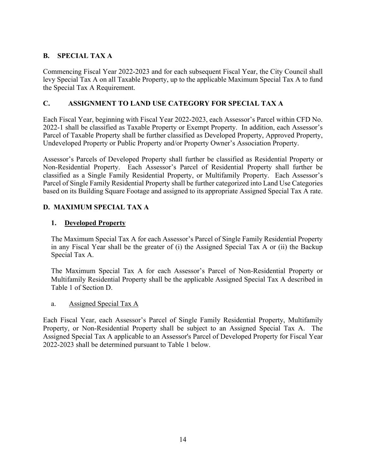# **B. SPECIAL TAX A**

Commencing Fiscal Year 2022-2023 and for each subsequent Fiscal Year, the City Council shall levy Special Tax A on all Taxable Property, up to the applicable Maximum Special Tax A to fund the Special Tax A Requirement.

# **C. ASSIGNMENT TO LAND USE CATEGORY FOR SPECIAL TAX A**

Each Fiscal Year, beginning with Fiscal Year 2022-2023, each Assessor's Parcel within CFD No. 2022-1 shall be classified as Taxable Property or Exempt Property. In addition, each Assessor's Parcel of Taxable Property shall be further classified as Developed Property, Approved Property, Undeveloped Property or Public Property and/or Property Owner's Association Property.

Assessor's Parcels of Developed Property shall further be classified as Residential Property or Non-Residential Property. Each Assessor's Parcel of Residential Property shall further be classified as a Single Family Residential Property, or Multifamily Property. Each Assessor's Parcel of Single Family Residential Property shall be further categorized into Land Use Categories based on its Building Square Footage and assigned to its appropriate Assigned Special Tax A rate.

# **D. MAXIMUM SPECIAL TAX A**

### **1. Developed Property**

The Maximum Special Tax A for each Assessor's Parcel of Single Family Residential Property in any Fiscal Year shall be the greater of (i) the Assigned Special Tax A or (ii) the Backup Special Tax A.

The Maximum Special Tax A for each Assessor's Parcel of Non-Residential Property or Multifamily Residential Property shall be the applicable Assigned Special Tax A described in Table 1 of Section D.

#### a. Assigned Special Tax A

Each Fiscal Year, each Assessor's Parcel of Single Family Residential Property, Multifamily Property, or Non-Residential Property shall be subject to an Assigned Special Tax A. The Assigned Special Tax A applicable to an Assessor's Parcel of Developed Property for Fiscal Year 2022-2023 shall be determined pursuant to Table 1 below.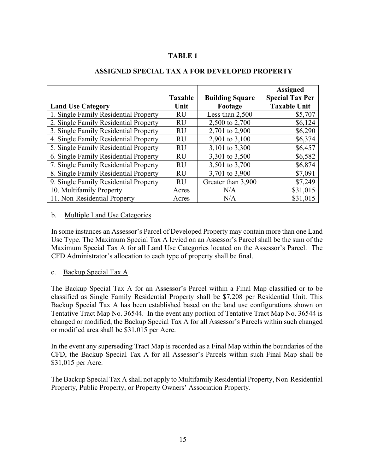# **TABLE 1**

|                                       | <b>Taxable</b> | <b>Building Square</b> | <b>Assigned</b><br><b>Special Tax Per</b> |
|---------------------------------------|----------------|------------------------|-------------------------------------------|
| <b>Land Use Category</b>              | Unit           | Footage                | <b>Taxable Unit</b>                       |
| 1. Single Family Residential Property | <b>RU</b>      | Less than 2,500        | \$5,707                                   |
| 2. Single Family Residential Property | RU             | 2,500 to 2,700         | \$6,124                                   |
| 3. Single Family Residential Property | <b>RU</b>      | 2,701 to 2,900         | \$6,290                                   |
| 4. Single Family Residential Property | RU             | 2,901 to 3,100         | \$6,374                                   |
| 5. Single Family Residential Property | <b>RU</b>      | 3,101 to 3,300         | \$6,457                                   |
| 6. Single Family Residential Property | <b>RU</b>      | 3,301 to 3,500         | \$6,582                                   |
| 7. Single Family Residential Property | <b>RU</b>      | 3,501 to 3,700         | \$6,874                                   |
| 8. Single Family Residential Property | RU             | 3,701 to 3,900         | \$7,091                                   |
| 9. Single Family Residential Property | <b>RU</b>      | Greater than 3,900     | \$7,249                                   |
| 10. Multifamily Property              | Acres          | N/A                    | \$31,015                                  |
| 11. Non-Residential Property          | Acres          | N/A                    | \$31,015                                  |

### **ASSIGNED SPECIAL TAX A FOR DEVELOPED PROPERTY**

### b. Multiple Land Use Categories

In some instances an Assessor's Parcel of Developed Property may contain more than one Land Use Type. The Maximum Special Tax A levied on an Assessor's Parcel shall be the sum of the Maximum Special Tax A for all Land Use Categories located on the Assessor's Parcel. The CFD Administrator's allocation to each type of property shall be final.

#### c. Backup Special Tax A

The Backup Special Tax A for an Assessor's Parcel within a Final Map classified or to be classified as Single Family Residential Property shall be \$7,208 per Residential Unit. This Backup Special Tax A has been established based on the land use configurations shown on Tentative Tract Map No. 36544. In the event any portion of Tentative Tract Map No. 36544 is changed or modified, the Backup Special Tax A for all Assessor's Parcels within such changed or modified area shall be \$31,015 per Acre.

In the event any superseding Tract Map is recorded as a Final Map within the boundaries of the CFD, the Backup Special Tax A for all Assessor's Parcels within such Final Map shall be \$31,015 per Acre.

The Backup Special Tax A shall not apply to Multifamily Residential Property, Non-Residential Property, Public Property, or Property Owners' Association Property.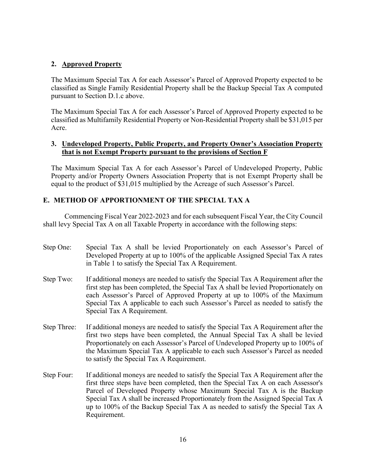### **2. Approved Property**

The Maximum Special Tax A for each Assessor's Parcel of Approved Property expected to be classified as Single Family Residential Property shall be the Backup Special Tax A computed pursuant to Section D.1.c above.

The Maximum Special Tax A for each Assessor's Parcel of Approved Property expected to be classified as Multifamily Residential Property or Non-Residential Property shall be \$31,015 per Acre.

### **3. Undeveloped Property, Public Property, and Property Owner's Association Property that is not Exempt Property pursuant to the provisions of Section F**

The Maximum Special Tax A for each Assessor's Parcel of Undeveloped Property, Public Property and/or Property Owners Association Property that is not Exempt Property shall be equal to the product of \$31,015 multiplied by the Acreage of such Assessor's Parcel.

### **E. METHOD OF APPORTIONMENT OF THE SPECIAL TAX A**

Commencing Fiscal Year 2022-2023 and for each subsequent Fiscal Year, the City Council shall levy Special Tax A on all Taxable Property in accordance with the following steps:

- Step One: Special Tax A shall be levied Proportionately on each Assessor's Parcel of Developed Property at up to 100% of the applicable Assigned Special Tax A rates in Table 1 to satisfy the Special Tax A Requirement.
- Step Two: If additional moneys are needed to satisfy the Special Tax A Requirement after the first step has been completed, the Special Tax A shall be levied Proportionately on each Assessor's Parcel of Approved Property at up to 100% of the Maximum Special Tax A applicable to each such Assessor's Parcel as needed to satisfy the Special Tax A Requirement.
- Step Three: If additional moneys are needed to satisfy the Special Tax A Requirement after the first two steps have been completed, the Annual Special Tax A shall be levied Proportionately on each Assessor's Parcel of Undeveloped Property up to 100% of the Maximum Special Tax A applicable to each such Assessor's Parcel as needed to satisfy the Special Tax A Requirement.
- Step Four: If additional moneys are needed to satisfy the Special Tax A Requirement after the first three steps have been completed, then the Special Tax A on each Assessor's Parcel of Developed Property whose Maximum Special Tax A is the Backup Special Tax A shall be increased Proportionately from the Assigned Special Tax A up to 100% of the Backup Special Tax A as needed to satisfy the Special Tax A Requirement.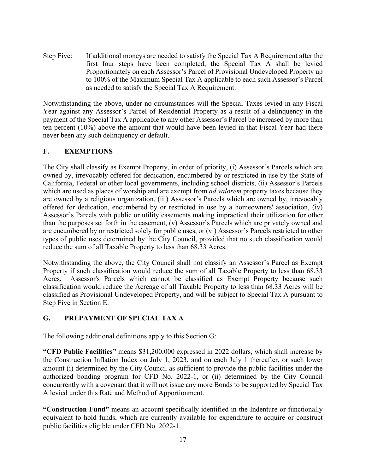Step Five: If additional moneys are needed to satisfy the Special Tax A Requirement after the first four steps have been completed, the Special Tax A shall be levied Proportionately on each Assessor's Parcel of Provisional Undeveloped Property up to 100% of the Maximum Special Tax A applicable to each such Assessor's Parcel as needed to satisfy the Special Tax A Requirement.

Notwithstanding the above, under no circumstances will the Special Taxes levied in any Fiscal Year against any Assessor's Parcel of Residential Property as a result of a delinquency in the payment of the Special Tax A applicable to any other Assessor's Parcel be increased by more than ten percent (10%) above the amount that would have been levied in that Fiscal Year had there never been any such delinquency or default.

# **F. EXEMPTIONS**

The City shall classify as Exempt Property, in order of priority, (i) Assessor's Parcels which are owned by, irrevocably offered for dedication, encumbered by or restricted in use by the State of California, Federal or other local governments, including school districts, (ii) Assessor's Parcels which are used as places of worship and are exempt from *ad valorem* property taxes because they are owned by a religious organization, (iii) Assessor's Parcels which are owned by, irrevocably offered for dedication, encumbered by or restricted in use by a homeowners' association, (iv) Assessor's Parcels with public or utility easements making impractical their utilization for other than the purposes set forth in the easement, (v) Assessor's Parcels which are privately owned and are encumbered by or restricted solely for public uses, or (vi) Assessor's Parcels restricted to other types of public uses determined by the City Council, provided that no such classification would reduce the sum of all Taxable Property to less than 68.33 Acres.

Notwithstanding the above, the City Council shall not classify an Assessor's Parcel as Exempt Property if such classification would reduce the sum of all Taxable Property to less than 68.33 Acres. Assessor's Parcels which cannot be classified as Exempt Property because such classification would reduce the Acreage of all Taxable Property to less than 68.33 Acres will be classified as Provisional Undeveloped Property, and will be subject to Special Tax A pursuant to Step Five in Section E.

# **G. PREPAYMENT OF SPECIAL TAX A**

The following additional definitions apply to this Section G:

**"CFD Public Facilities"** means \$31,200,000 expressed in 2022 dollars, which shall increase by the Construction Inflation Index on July 1, 2023, and on each July 1 thereafter, or such lower amount (i) determined by the City Council as sufficient to provide the public facilities under the authorized bonding program for CFD No. 2022-1, or (ii) determined by the City Council concurrently with a covenant that it will not issue any more Bonds to be supported by Special Tax A levied under this Rate and Method of Apportionment.

**"Construction Fund"** means an account specifically identified in the Indenture or functionally equivalent to hold funds, which are currently available for expenditure to acquire or construct public facilities eligible under CFD No. 2022-1.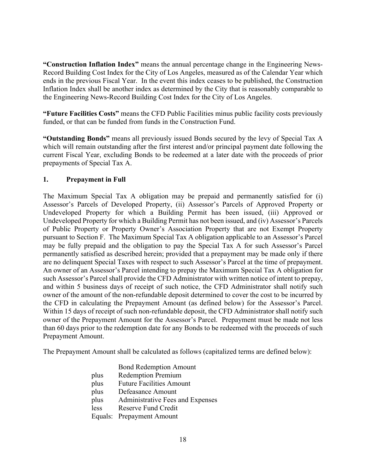**"Construction Inflation Index"** means the annual percentage change in the Engineering News-Record Building Cost Index for the City of Los Angeles, measured as of the Calendar Year which ends in the previous Fiscal Year. In the event this index ceases to be published, the Construction Inflation Index shall be another index as determined by the City that is reasonably comparable to the Engineering News-Record Building Cost Index for the City of Los Angeles.

**"Future Facilities Costs"** means the CFD Public Facilities minus public facility costs previously funded, or that can be funded from funds in the Construction Fund.

**"Outstanding Bonds"** means all previously issued Bonds secured by the levy of Special Tax A which will remain outstanding after the first interest and/or principal payment date following the current Fiscal Year, excluding Bonds to be redeemed at a later date with the proceeds of prior prepayments of Special Tax A.

# **1. Prepayment in Full**

The Maximum Special Tax A obligation may be prepaid and permanently satisfied for (i) Assessor's Parcels of Developed Property, (ii) Assessor's Parcels of Approved Property or Undeveloped Property for which a Building Permit has been issued, (iii) Approved or Undeveloped Property for which a Building Permit has not been issued, and (iv) Assessor's Parcels of Public Property or Property Owner's Association Property that are not Exempt Property pursuant to Section F. The Maximum Special Tax A obligation applicable to an Assessor's Parcel may be fully prepaid and the obligation to pay the Special Tax A for such Assessor's Parcel permanently satisfied as described herein; provided that a prepayment may be made only if there are no delinquent Special Taxes with respect to such Assessor's Parcel at the time of prepayment. An owner of an Assessor's Parcel intending to prepay the Maximum Special Tax A obligation for such Assessor's Parcel shall provide the CFD Administrator with written notice of intent to prepay, and within 5 business days of receipt of such notice, the CFD Administrator shall notify such owner of the amount of the non-refundable deposit determined to cover the cost to be incurred by the CFD in calculating the Prepayment Amount (as defined below) for the Assessor's Parcel. Within 15 days of receipt of such non-refundable deposit, the CFD Administrator shall notify such owner of the Prepayment Amount for the Assessor's Parcel. Prepayment must be made not less than 60 days prior to the redemption date for any Bonds to be redeemed with the proceeds of such Prepayment Amount.

The Prepayment Amount shall be calculated as follows (capitalized terms are defined below):

|      | <b>Bond Redemption Amount</b>    |
|------|----------------------------------|
| plus | <b>Redemption Premium</b>        |
| plus | <b>Future Facilities Amount</b>  |
| plus | Defeasance Amount                |
| plus | Administrative Fees and Expenses |
| less | <b>Reserve Fund Credit</b>       |
|      | Equals: Prepayment Amount        |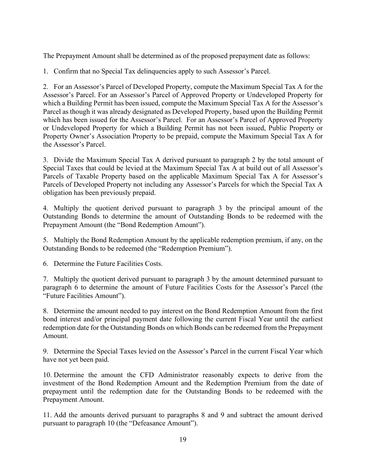The Prepayment Amount shall be determined as of the proposed prepayment date as follows:

1. Confirm that no Special Tax delinquencies apply to such Assessor's Parcel.

2. For an Assessor's Parcel of Developed Property, compute the Maximum Special Tax A for the Assessor's Parcel. For an Assessor's Parcel of Approved Property or Undeveloped Property for which a Building Permit has been issued, compute the Maximum Special Tax A for the Assessor's Parcel as though it was already designated as Developed Property, based upon the Building Permit which has been issued for the Assessor's Parcel. For an Assessor's Parcel of Approved Property or Undeveloped Property for which a Building Permit has not been issued, Public Property or Property Owner's Association Property to be prepaid, compute the Maximum Special Tax A for the Assessor's Parcel.

3. Divide the Maximum Special Tax A derived pursuant to paragraph 2 by the total amount of Special Taxes that could be levied at the Maximum Special Tax A at build out of all Assessor's Parcels of Taxable Property based on the applicable Maximum Special Tax A for Assessor's Parcels of Developed Property not including any Assessor's Parcels for which the Special Tax A obligation has been previously prepaid.

4. Multiply the quotient derived pursuant to paragraph 3 by the principal amount of the Outstanding Bonds to determine the amount of Outstanding Bonds to be redeemed with the Prepayment Amount (the "Bond Redemption Amount").

5. Multiply the Bond Redemption Amount by the applicable redemption premium, if any, on the Outstanding Bonds to be redeemed (the "Redemption Premium").

6. Determine the Future Facilities Costs.

7. Multiply the quotient derived pursuant to paragraph 3 by the amount determined pursuant to paragraph 6 to determine the amount of Future Facilities Costs for the Assessor's Parcel (the "Future Facilities Amount").

8. Determine the amount needed to pay interest on the Bond Redemption Amount from the first bond interest and/or principal payment date following the current Fiscal Year until the earliest redemption date for the Outstanding Bonds on which Bonds can be redeemed from the Prepayment Amount.

9. Determine the Special Taxes levied on the Assessor's Parcel in the current Fiscal Year which have not yet been paid.

10. Determine the amount the CFD Administrator reasonably expects to derive from the investment of the Bond Redemption Amount and the Redemption Premium from the date of prepayment until the redemption date for the Outstanding Bonds to be redeemed with the Prepayment Amount.

11. Add the amounts derived pursuant to paragraphs 8 and 9 and subtract the amount derived pursuant to paragraph 10 (the "Defeasance Amount").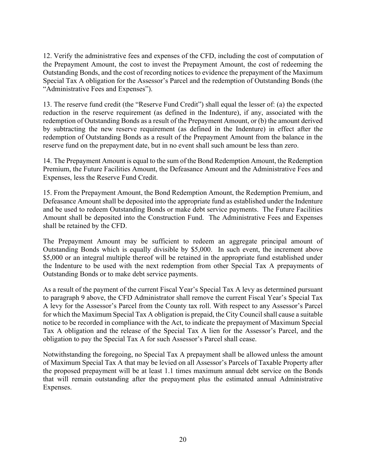12. Verify the administrative fees and expenses of the CFD, including the cost of computation of the Prepayment Amount, the cost to invest the Prepayment Amount, the cost of redeeming the Outstanding Bonds, and the cost of recording notices to evidence the prepayment of the Maximum Special Tax A obligation for the Assessor's Parcel and the redemption of Outstanding Bonds (the "Administrative Fees and Expenses").

13. The reserve fund credit (the "Reserve Fund Credit") shall equal the lesser of: (a) the expected reduction in the reserve requirement (as defined in the Indenture), if any, associated with the redemption of Outstanding Bonds as a result of the Prepayment Amount, or (b) the amount derived by subtracting the new reserve requirement (as defined in the Indenture) in effect after the redemption of Outstanding Bonds as a result of the Prepayment Amount from the balance in the reserve fund on the prepayment date, but in no event shall such amount be less than zero.

14. The Prepayment Amount is equal to the sum of the Bond Redemption Amount, the Redemption Premium, the Future Facilities Amount, the Defeasance Amount and the Administrative Fees and Expenses, less the Reserve Fund Credit.

15. From the Prepayment Amount, the Bond Redemption Amount, the Redemption Premium, and Defeasance Amount shall be deposited into the appropriate fund as established under the Indenture and be used to redeem Outstanding Bonds or make debt service payments. The Future Facilities Amount shall be deposited into the Construction Fund. The Administrative Fees and Expenses shall be retained by the CFD.

The Prepayment Amount may be sufficient to redeem an aggregate principal amount of Outstanding Bonds which is equally divisible by \$5,000. In such event, the increment above \$5,000 or an integral multiple thereof will be retained in the appropriate fund established under the Indenture to be used with the next redemption from other Special Tax A prepayments of Outstanding Bonds or to make debt service payments.

As a result of the payment of the current Fiscal Year's Special Tax A levy as determined pursuant to paragraph 9 above, the CFD Administrator shall remove the current Fiscal Year's Special Tax A levy for the Assessor's Parcel from the County tax roll. With respect to any Assessor's Parcel for which the Maximum Special Tax A obligation is prepaid, the City Council shall cause a suitable notice to be recorded in compliance with the Act, to indicate the prepayment of Maximum Special Tax A obligation and the release of the Special Tax A lien for the Assessor's Parcel, and the obligation to pay the Special Tax A for such Assessor's Parcel shall cease.

Notwithstanding the foregoing, no Special Tax A prepayment shall be allowed unless the amount of Maximum Special Tax A that may be levied on all Assessor's Parcels of Taxable Property after the proposed prepayment will be at least 1.1 times maximum annual debt service on the Bonds that will remain outstanding after the prepayment plus the estimated annual Administrative Expenses.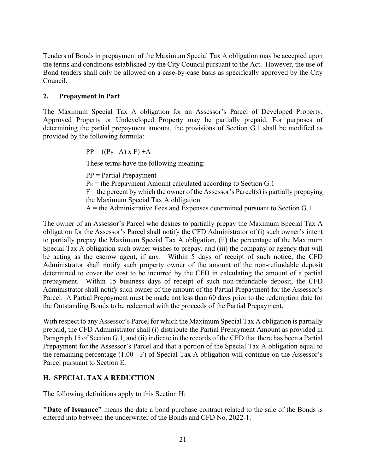Tenders of Bonds in prepayment of the Maximum Special Tax A obligation may be accepted upon the terms and conditions established by the City Council pursuant to the Act. However, the use of Bond tenders shall only be allowed on a case-by-case basis as specifically approved by the City Council.

## **2. Prepayment in Part**

The Maximum Special Tax A obligation for an Assessor's Parcel of Developed Property, Approved Property or Undeveloped Property may be partially prepaid. For purposes of determining the partial prepayment amount, the provisions of Section G.1 shall be modified as provided by the following formula:

 $PP = ((P<sub>E</sub> - A) \times F) + A$ 

These terms have the following meaning:

PP = Partial Prepayment

 $P<sub>E</sub>$  = the Prepayment Amount calculated according to Section G.1

 $F =$  the percent by which the owner of the Assessor's Parcel(s) is partially prepaying the Maximum Special Tax A obligation

 $A =$  the Administrative Fees and Expenses determined pursuant to Section G.1

The owner of an Assessor's Parcel who desires to partially prepay the Maximum Special Tax A obligation for the Assessor's Parcel shall notify the CFD Administrator of (i) such owner's intent to partially prepay the Maximum Special Tax A obligation, (ii) the percentage of the Maximum Special Tax A obligation such owner wishes to prepay, and (iii) the company or agency that will be acting as the escrow agent, if any. Within 5 days of receipt of such notice, the CFD Administrator shall notify such property owner of the amount of the non-refundable deposit determined to cover the cost to be incurred by the CFD in calculating the amount of a partial prepayment. Within 15 business days of receipt of such non-refundable deposit, the CFD Administrator shall notify such owner of the amount of the Partial Prepayment for the Assessor's Parcel. A Partial Prepayment must be made not less than 60 days prior to the redemption date for the Outstanding Bonds to be redeemed with the proceeds of the Partial Prepayment.

With respect to any Assessor's Parcel for which the Maximum Special Tax A obligation is partially prepaid, the CFD Administrator shall (i) distribute the Partial Prepayment Amount as provided in Paragraph 15 of Section G.1, and (ii) indicate in the records of the CFD that there has been a Partial Prepayment for the Assessor's Parcel and that a portion of the Special Tax A obligation equal to the remaining percentage (1.00 - F) of Special Tax A obligation will continue on the Assessor's Parcel pursuant to Section E.

# **H. SPECIAL TAX A REDUCTION**

The following definitions apply to this Section H:

**"Date of Issuance"** means the date a bond purchase contract related to the sale of the Bonds is entered into between the underwriter of the Bonds and CFD No. 2022-1.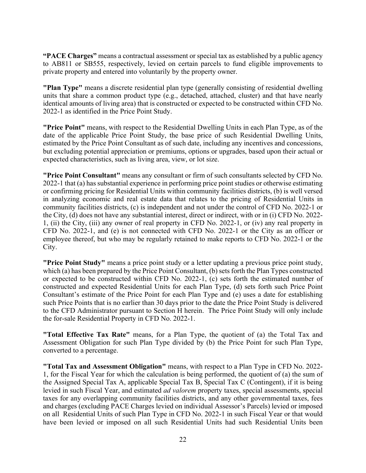**"PACE Charges"** means a contractual assessment or special tax as established by a public agency to AB811 or SB555, respectively, levied on certain parcels to fund eligible improvements to private property and entered into voluntarily by the property owner.

**"Plan Type"** means a discrete residential plan type (generally consisting of residential dwelling units that share a common product type (e.g., detached, attached, cluster) and that have nearly identical amounts of living area) that is constructed or expected to be constructed within CFD No. 2022-1 as identified in the Price Point Study.

**"Price Point"** means, with respect to the Residential Dwelling Units in each Plan Type, as of the date of the applicable Price Point Study, the base price of such Residential Dwelling Units, estimated by the Price Point Consultant as of such date, including any incentives and concessions, but excluding potential appreciation or premiums, options or upgrades, based upon their actual or expected characteristics, such as living area, view, or lot size.

**"Price Point Consultant"** means any consultant or firm of such consultants selected by CFD No. 2022-1 that (a) has substantial experience in performing price point studies or otherwise estimating or confirming pricing for Residential Units within community facilities districts, (b) is well versed in analyzing economic and real estate data that relates to the pricing of Residential Units in community facilities districts, (c) is independent and not under the control of CFD No. 2022-1 or the City, (d) does not have any substantial interest, direct or indirect, with or in (i) CFD No. 2022- 1, (ii) the City, (iii) any owner of real property in CFD No. 2022-1, or (iv) any real property in CFD No. 2022-1, and (e) is not connected with CFD No. 2022-1 or the City as an officer or employee thereof, but who may be regularly retained to make reports to CFD No. 2022-1 or the City.

**"Price Point Study"** means a price point study or a letter updating a previous price point study, which (a) has been prepared by the Price Point Consultant, (b) sets forth the Plan Types constructed or expected to be constructed within CFD No. 2022-1, (c) sets forth the estimated number of constructed and expected Residential Units for each Plan Type, (d) sets forth such Price Point Consultant's estimate of the Price Point for each Plan Type and (e) uses a date for establishing such Price Points that is no earlier than 30 days prior to the date the Price Point Study is delivered to the CFD Administrator pursuant to Section H herein. The Price Point Study will only include the for-sale Residential Property in CFD No. 2022-1.

**"Total Effective Tax Rate"** means, for a Plan Type, the quotient of (a) the Total Tax and Assessment Obligation for such Plan Type divided by (b) the Price Point for such Plan Type, converted to a percentage.

**"Total Tax and Assessment Obligation"** means, with respect to a Plan Type in CFD No. 2022- 1, for the Fiscal Year for which the calculation is being performed, the quotient of (a) the sum of the Assigned Special Tax A, applicable Special Tax B, Special Tax C (Contingent), if it is being levied in such Fiscal Year, and estimated *ad valorem* property taxes, special assessments, special taxes for any overlapping community facilities districts, and any other governmental taxes, fees and charges (excluding PACE Charges levied on individual Assessor's Parcels) levied or imposed on all Residential Units of such Plan Type in CFD No. 2022-1 in such Fiscal Year or that would have been levied or imposed on all such Residential Units had such Residential Units been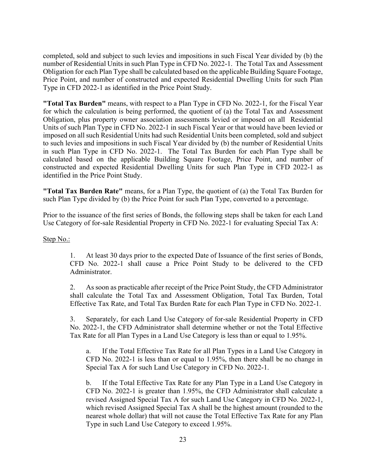completed, sold and subject to such levies and impositions in such Fiscal Year divided by (b) the number of Residential Units in such Plan Type in CFD No. 2022-1. The Total Tax and Assessment Obligation for each Plan Type shall be calculated based on the applicable Building Square Footage, Price Point, and number of constructed and expected Residential Dwelling Units for such Plan Type in CFD 2022-1 as identified in the Price Point Study.

**"Total Tax Burden"** means, with respect to a Plan Type in CFD No. 2022-1, for the Fiscal Year for which the calculation is being performed, the quotient of (a) the Total Tax and Assessment Obligation, plus property owner association assessments levied or imposed on all Residential Units of such Plan Type in CFD No. 2022-1 in such Fiscal Year or that would have been levied or imposed on all such Residential Units had such Residential Units been completed, sold and subject to such levies and impositions in such Fiscal Year divided by (b) the number of Residential Units in such Plan Type in CFD No. 2022-1. The Total Tax Burden for each Plan Type shall be calculated based on the applicable Building Square Footage, Price Point, and number of constructed and expected Residential Dwelling Units for such Plan Type in CFD 2022-1 as identified in the Price Point Study.

**"Total Tax Burden Rate"** means, for a Plan Type, the quotient of (a) the Total Tax Burden for such Plan Type divided by (b) the Price Point for such Plan Type, converted to a percentage.

Prior to the issuance of the first series of Bonds, the following steps shall be taken for each Land Use Category of for-sale Residential Property in CFD No. 2022-1 for evaluating Special Tax A:

#### Step No.:

1. At least 30 days prior to the expected Date of Issuance of the first series of Bonds, CFD No. 2022-1 shall cause a Price Point Study to be delivered to the CFD Administrator.

2. As soon as practicable after receipt of the Price Point Study, the CFD Administrator shall calculate the Total Tax and Assessment Obligation, Total Tax Burden, Total Effective Tax Rate, and Total Tax Burden Rate for each Plan Type in CFD No. 2022-1.

3. Separately, for each Land Use Category of for-sale Residential Property in CFD No. 2022-1, the CFD Administrator shall determine whether or not the Total Effective Tax Rate for all Plan Types in a Land Use Category is less than or equal to 1.95%.

a. If the Total Effective Tax Rate for all Plan Types in a Land Use Category in CFD No. 2022-1 is less than or equal to 1.95%, then there shall be no change in Special Tax A for such Land Use Category in CFD No. 2022-1.

b. If the Total Effective Tax Rate for any Plan Type in a Land Use Category in CFD No. 2022-1 is greater than 1.95%, the CFD Administrator shall calculate a revised Assigned Special Tax A for such Land Use Category in CFD No. 2022-1, which revised Assigned Special Tax A shall be the highest amount (rounded to the nearest whole dollar) that will not cause the Total Effective Tax Rate for any Plan Type in such Land Use Category to exceed 1.95%.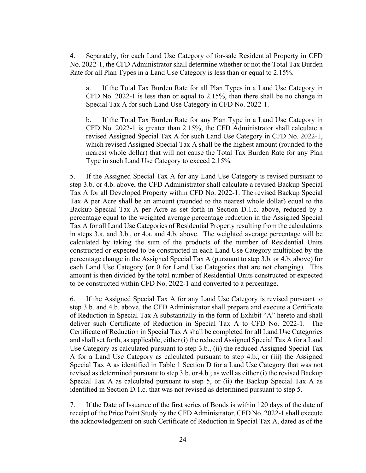4. Separately, for each Land Use Category of for-sale Residential Property in CFD No. 2022-1, the CFD Administrator shall determine whether or not the Total Tax Burden Rate for all Plan Types in a Land Use Category is less than or equal to 2.15%.

a. If the Total Tax Burden Rate for all Plan Types in a Land Use Category in CFD No. 2022-1 is less than or equal to 2.15%, then there shall be no change in Special Tax A for such Land Use Category in CFD No. 2022-1.

b. If the Total Tax Burden Rate for any Plan Type in a Land Use Category in CFD No. 2022-1 is greater than 2.15%, the CFD Administrator shall calculate a revised Assigned Special Tax A for such Land Use Category in CFD No. 2022-1, which revised Assigned Special Tax A shall be the highest amount (rounded to the nearest whole dollar) that will not cause the Total Tax Burden Rate for any Plan Type in such Land Use Category to exceed 2.15%.

5. If the Assigned Special Tax A for any Land Use Category is revised pursuant to step 3.b. or 4.b. above, the CFD Administrator shall calculate a revised Backup Special Tax A for all Developed Property within CFD No. 2022-1. The revised Backup Special Tax A per Acre shall be an amount (rounded to the nearest whole dollar) equal to the Backup Special Tax A per Acre as set forth in Section D.1.c. above, reduced by a percentage equal to the weighted average percentage reduction in the Assigned Special Tax A for all Land Use Categories of Residential Property resulting from the calculations in steps 3.a. and 3.b., or 4.a. and 4.b. above. The weighted average percentage will be calculated by taking the sum of the products of the number of Residential Units constructed or expected to be constructed in each Land Use Category multiplied by the percentage change in the Assigned Special Tax A (pursuant to step 3.b. or 4.b. above) for each Land Use Category (or 0 for Land Use Categories that are not changing). This amount is then divided by the total number of Residential Units constructed or expected to be constructed within CFD No. 2022-1 and converted to a percentage.

6. If the Assigned Special Tax A for any Land Use Category is revised pursuant to step 3.b. and 4.b. above, the CFD Administrator shall prepare and execute a Certificate of Reduction in Special Tax A substantially in the form of Exhibit "A" hereto and shall deliver such Certificate of Reduction in Special Tax A to CFD No. 2022-1. The Certificate of Reduction in Special Tax A shall be completed for all Land Use Categories and shall set forth, as applicable, either (i) the reduced Assigned Special Tax A for a Land Use Category as calculated pursuant to step 3.b., (ii) the reduced Assigned Special Tax A for a Land Use Category as calculated pursuant to step 4.b., or (iii) the Assigned Special Tax A as identified in Table 1 Section D for a Land Use Category that was not revised as determined pursuant to step 3.b. or 4.b.; as well as either (i) the revised Backup Special Tax A as calculated pursuant to step 5, or (ii) the Backup Special Tax A as identified in Section D.1.c. that was not revised as determined pursuant to step 5.

7. If the Date of Issuance of the first series of Bonds is within 120 days of the date of receipt of the Price Point Study by the CFD Administrator, CFD No. 2022-1 shall execute the acknowledgement on such Certificate of Reduction in Special Tax A, dated as of the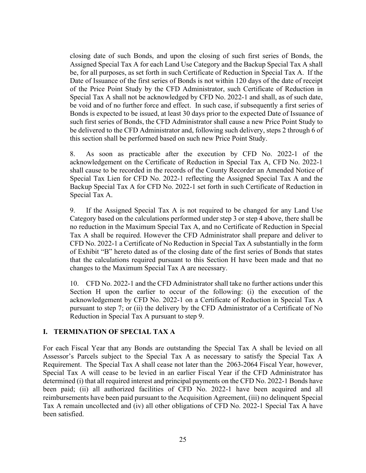closing date of such Bonds, and upon the closing of such first series of Bonds, the Assigned Special Tax A for each Land Use Category and the Backup Special Tax A shall be, for all purposes, as set forth in such Certificate of Reduction in Special Tax A. If the Date of Issuance of the first series of Bonds is not within 120 days of the date of receipt of the Price Point Study by the CFD Administrator, such Certificate of Reduction in Special Tax A shall not be acknowledged by CFD No. 2022-1 and shall, as of such date, be void and of no further force and effect. In such case, if subsequently a first series of Bonds is expected to be issued, at least 30 days prior to the expected Date of Issuance of such first series of Bonds, the CFD Administrator shall cause a new Price Point Study to be delivered to the CFD Administrator and, following such delivery, steps 2 through 6 of this section shall be performed based on such new Price Point Study.

8. As soon as practicable after the execution by CFD No. 2022-1 of the acknowledgement on the Certificate of Reduction in Special Tax A, CFD No. 2022-1 shall cause to be recorded in the records of the County Recorder an Amended Notice of Special Tax Lien for CFD No. 2022-1 reflecting the Assigned Special Tax A and the Backup Special Tax A for CFD No. 2022-1 set forth in such Certificate of Reduction in Special Tax A.

9. If the Assigned Special Tax A is not required to be changed for any Land Use Category based on the calculations performed under step 3 or step 4 above, there shall be no reduction in the Maximum Special Tax A, and no Certificate of Reduction in Special Tax A shall be required. However the CFD Administrator shall prepare and deliver to CFD No. 2022-1 a Certificate of No Reduction in Special Tax A substantially in the form of Exhibit "B" hereto dated as of the closing date of the first series of Bonds that states that the calculations required pursuant to this Section H have been made and that no changes to the Maximum Special Tax A are necessary.

10. CFD No. 2022-1 and the CFD Administrator shall take no further actions under this Section H upon the earlier to occur of the following: (i) the execution of the acknowledgement by CFD No. 2022-1 on a Certificate of Reduction in Special Tax A pursuant to step 7; or (ii) the delivery by the CFD Administrator of a Certificate of No Reduction in Special Tax A pursuant to step 9.

#### **I. TERMINATION OF SPECIAL TAX A**

For each Fiscal Year that any Bonds are outstanding the Special Tax A shall be levied on all Assessor's Parcels subject to the Special Tax A as necessary to satisfy the Special Tax A Requirement. The Special Tax A shall cease not later than the 2063-2064 Fiscal Year, however, Special Tax A will cease to be levied in an earlier Fiscal Year if the CFD Administrator has determined (i) that all required interest and principal payments on the CFD No. 2022-1 Bonds have been paid; (ii) all authorized facilities of CFD No. 2022-1 have been acquired and all reimbursements have been paid pursuant to the Acquisition Agreement, (iii) no delinquent Special Tax A remain uncollected and (iv) all other obligations of CFD No. 2022-1 Special Tax A have been satisfied.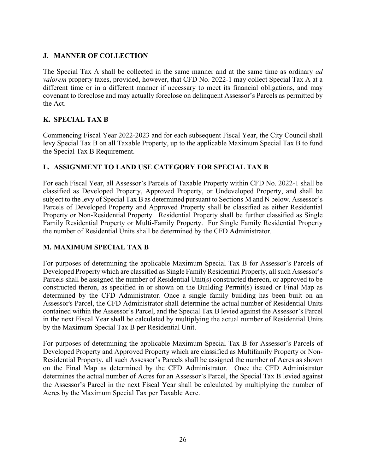# **J. MANNER OF COLLECTION**

The Special Tax A shall be collected in the same manner and at the same time as ordinary *ad valorem* property taxes, provided, however, that CFD No. 2022-1 may collect Special Tax A at a different time or in a different manner if necessary to meet its financial obligations, and may covenant to foreclose and may actually foreclose on delinquent Assessor's Parcels as permitted by the Act.

# **K. SPECIAL TAX B**

Commencing Fiscal Year 2022-2023 and for each subsequent Fiscal Year, the City Council shall levy Special Tax B on all Taxable Property, up to the applicable Maximum Special Tax B to fund the Special Tax B Requirement.

# **L. ASSIGNMENT TO LAND USE CATEGORY FOR SPECIAL TAX B**

For each Fiscal Year, all Assessor's Parcels of Taxable Property within CFD No. 2022-1 shall be classified as Developed Property, Approved Property, or Undeveloped Property, and shall be subject to the levy of Special Tax B as determined pursuant to Sections M and N below. Assessor's Parcels of Developed Property and Approved Property shall be classified as either Residential Property or Non-Residential Property. Residential Property shall be further classified as Single Family Residential Property or Multi-Family Property. For Single Family Residential Property the number of Residential Units shall be determined by the CFD Administrator.

# **M. MAXIMUM SPECIAL TAX B**

For purposes of determining the applicable Maximum Special Tax B for Assessor's Parcels of Developed Property which are classified as Single Family Residential Property, all such Assessor's Parcels shall be assigned the number of Residential Unit(s) constructed thereon, or approved to be constructed theron, as specified in or shown on the Building Permit(s) issued or Final Map as determined by the CFD Administrator. Once a single family building has been built on an Assessor's Parcel, the CFD Administrator shall determine the actual number of Residential Units contained within the Assessor's Parcel, and the Special Tax B levied against the Assessor's Parcel in the next Fiscal Year shall be calculated by multiplying the actual number of Residential Units by the Maximum Special Tax B per Residential Unit.

For purposes of determining the applicable Maximum Special Tax B for Assessor's Parcels of Developed Property and Approved Property which are classified as Multifamily Property or Non-Residential Property, all such Assessor's Parcels shall be assigned the number of Acres as shown on the Final Map as determined by the CFD Administrator. Once the CFD Administrator determines the actual number of Acres for an Assessor's Parcel, the Special Tax B levied against the Assessor's Parcel in the next Fiscal Year shall be calculated by multiplying the number of Acres by the Maximum Special Tax per Taxable Acre.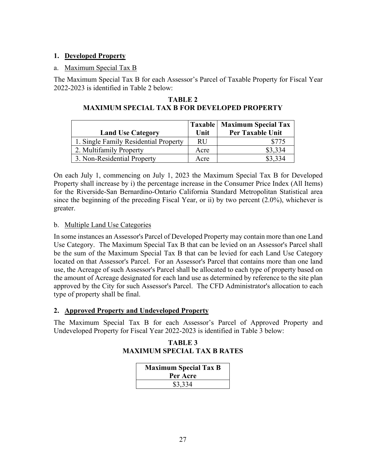# **1. Developed Property**

## a. Maximum Special Tax B

The Maximum Special Tax B for each Assessor's Parcel of Taxable Property for Fiscal Year 2022-2023 is identified in Table 2 below:

| <b>TABLE 2</b>                                      |  |  |  |
|-----------------------------------------------------|--|--|--|
| <b>MAXIMUM SPECIAL TAX B FOR DEVELOPED PROPERTY</b> |  |  |  |

| <b>Land Use Category</b>              | Unit      | Taxable   Maximum Special Tax<br>Per Taxable Unit |
|---------------------------------------|-----------|---------------------------------------------------|
| 1. Single Family Residential Property | <b>RU</b> | \$775                                             |
| 2. Multifamily Property               | Acre      | \$3,334                                           |
| 3. Non-Residential Property           | Acre      |                                                   |

On each July 1, commencing on July 1, 2023 the Maximum Special Tax B for Developed Property shall increase by i) the percentage increase in the Consumer Price Index (All Items) for the Riverside-San Bernardino-Ontario California Standard Metropolitan Statistical area since the beginning of the preceding Fiscal Year, or ii) by two percent (2.0%), whichever is greater.

# b. Multiple Land Use Categories

In some instances an Assessor's Parcel of Developed Property may contain more than one Land Use Category. The Maximum Special Tax B that can be levied on an Assessor's Parcel shall be the sum of the Maximum Special Tax B that can be levied for each Land Use Category located on that Assessor's Parcel. For an Assessor's Parcel that contains more than one land use, the Acreage of such Assessor's Parcel shall be allocated to each type of property based on the amount of Acreage designated for each land use as determined by reference to the site plan approved by the City for such Assessor's Parcel. The CFD Administrator's allocation to each type of property shall be final.

# **2. Approved Property and Undeveloped Property**

The Maximum Special Tax B for each Assessor's Parcel of Approved Property and Undeveloped Property for Fiscal Year 2022-2023 is identified in Table 3 below:

**TABLE 3 MAXIMUM SPECIAL TAX B RATES** 

| <b>Maximum Special Tax B</b><br>Per Acre |  |
|------------------------------------------|--|
| \$3,334                                  |  |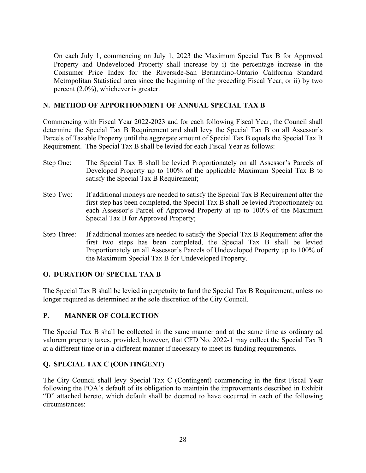On each July 1, commencing on July 1, 2023 the Maximum Special Tax B for Approved Property and Undeveloped Property shall increase by i) the percentage increase in the Consumer Price Index for the Riverside-San Bernardino-Ontario California Standard Metropolitan Statistical area since the beginning of the preceding Fiscal Year, or ii) by two percent (2.0%), whichever is greater.

## **N. METHOD OF APPORTIONMENT OF ANNUAL SPECIAL TAX B**

Commencing with Fiscal Year 2022-2023 and for each following Fiscal Year, the Council shall determine the Special Tax B Requirement and shall levy the Special Tax B on all Assessor's Parcels of Taxable Property until the aggregate amount of Special Tax B equals the Special Tax B Requirement. The Special Tax B shall be levied for each Fiscal Year as follows:

- Step One: The Special Tax B shall be levied Proportionately on all Assessor's Parcels of Developed Property up to 100% of the applicable Maximum Special Tax B to satisfy the Special Tax B Requirement;
- Step Two: If additional moneys are needed to satisfy the Special Tax B Requirement after the first step has been completed, the Special Tax B shall be levied Proportionately on each Assessor's Parcel of Approved Property at up to 100% of the Maximum Special Tax B for Approved Property;
- Step Three: If additional monies are needed to satisfy the Special Tax B Requirement after the first two steps has been completed, the Special Tax B shall be levied Proportionately on all Assessor's Parcels of Undeveloped Property up to 100% of the Maximum Special Tax B for Undeveloped Property.

#### **O. DURATION OF SPECIAL TAX B**

The Special Tax B shall be levied in perpetuity to fund the Special Tax B Requirement, unless no longer required as determined at the sole discretion of the City Council.

#### **P. MANNER OF COLLECTION**

The Special Tax B shall be collected in the same manner and at the same time as ordinary ad valorem property taxes, provided, however, that CFD No. 2022-1 may collect the Special Tax B at a different time or in a different manner if necessary to meet its funding requirements.

# **Q. SPECIAL TAX C (CONTINGENT)**

The City Council shall levy Special Tax C (Contingent) commencing in the first Fiscal Year following the POA's default of its obligation to maintain the improvements described in Exhibit "D" attached hereto, which default shall be deemed to have occurred in each of the following circumstances: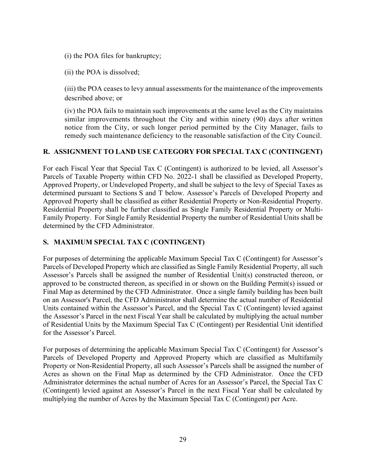(i) the POA files for bankruptcy;

(ii) the POA is dissolved;

(iii) the POA ceases to levy annual assessments for the maintenance of the improvements described above; or

(iv) the POA fails to maintain such improvements at the same level as the City maintains similar improvements throughout the City and within ninety (90) days after written notice from the City, or such longer period permitted by the City Manager, fails to remedy such maintenance deficiency to the reasonable satisfaction of the City Council.

# **R. ASSIGNMENT TO LAND USE CATEGORY FOR SPECIAL TAX C (CONTINGENT)**

For each Fiscal Year that Special Tax C (Contingent) is authorized to be levied, all Assessor's Parcels of Taxable Property within CFD No. 2022-1 shall be classified as Developed Property, Approved Property, or Undeveloped Property, and shall be subject to the levy of Special Taxes as determined pursuant to Sections S and T below. Assessor's Parcels of Developed Property and Approved Property shall be classified as either Residential Property or Non-Residential Property. Residential Property shall be further classified as Single Family Residential Property or Multi-Family Property. For Single Family Residential Property the number of Residential Units shall be determined by the CFD Administrator.

# **S. MAXIMUM SPECIAL TAX C (CONTINGENT)**

For purposes of determining the applicable Maximum Special Tax C (Contingent) for Assessor's Parcels of Developed Property which are classified as Single Family Residential Property, all such Assessor's Parcels shall be assigned the number of Residential Unit(s) constructed thereon, or approved to be constructed thereon, as specified in or shown on the Building Permit(s) issued or Final Map as determined by the CFD Administrator. Once a single family building has been built on an Assessor's Parcel, the CFD Administrator shall determine the actual number of Residential Units contained within the Assessor's Parcel, and the Special Tax C (Contingent) levied against the Assessor's Parcel in the next Fiscal Year shall be calculated by multiplying the actual number of Residential Units by the Maximum Special Tax C (Contingent) per Residential Unit identified for the Assessor's Parcel.

For purposes of determining the applicable Maximum Special Tax C (Contingent) for Assessor's Parcels of Developed Property and Approved Property which are classified as Multifamily Property or Non-Residential Property, all such Assessor's Parcels shall be assigned the number of Acres as shown on the Final Map as determined by the CFD Administrator. Once the CFD Administrator determines the actual number of Acres for an Assessor's Parcel, the Special Tax C (Contingent) levied against an Assessor's Parcel in the next Fiscal Year shall be calculated by multiplying the number of Acres by the Maximum Special Tax C (Contingent) per Acre.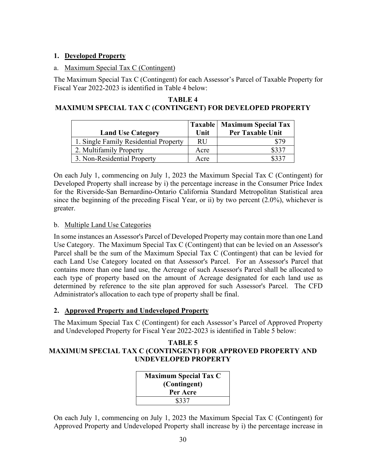# **1. Developed Property**

## a. Maximum Special Tax C (Contingent)

The Maximum Special Tax C (Contingent) for each Assessor's Parcel of Taxable Property for Fiscal Year 2022-2023 is identified in Table 4 below:

## **TABLE 4 MAXIMUM SPECIAL TAX C (CONTINGENT) FOR DEVELOPED PROPERTY**

| <b>Land Use Category</b>              | Unit      | Taxable   Maximum Special Tax<br>Per Taxable Unit |
|---------------------------------------|-----------|---------------------------------------------------|
| 1. Single Family Residential Property | <b>RU</b> | \$79                                              |
| 2. Multifamily Property               | Acre      | \$337                                             |
| 3. Non-Residential Property           | Acre      | \$331                                             |

On each July 1, commencing on July 1, 2023 the Maximum Special Tax C (Contingent) for Developed Property shall increase by i) the percentage increase in the Consumer Price Index for the Riverside-San Bernardino-Ontario California Standard Metropolitan Statistical area since the beginning of the preceding Fiscal Year, or ii) by two percent (2.0%), whichever is greater.

# b. Multiple Land Use Categories

In some instances an Assessor's Parcel of Developed Property may contain more than one Land Use Category. The Maximum Special Tax C (Contingent) that can be levied on an Assessor's Parcel shall be the sum of the Maximum Special Tax C (Contingent) that can be levied for each Land Use Category located on that Assessor's Parcel. For an Assessor's Parcel that contains more than one land use, the Acreage of such Assessor's Parcel shall be allocated to each type of property based on the amount of Acreage designated for each land use as determined by reference to the site plan approved for such Assessor's Parcel. The CFD Administrator's allocation to each type of property shall be final.

# **2. Approved Property and Undeveloped Property**

The Maximum Special Tax C (Contingent) for each Assessor's Parcel of Approved Property and Undeveloped Property for Fiscal Year 2022-2023 is identified in Table 5 below:

## **TABLE 5 MAXIMUM SPECIAL TAX C (CONTINGENT) FOR APPROVED PROPERTY AND UNDEVELOPED PROPERTY**

| <b>Maximum Special Tax C</b> |  |
|------------------------------|--|
| (Contingent)                 |  |
| Per Acre                     |  |
| \$337                        |  |

On each July 1, commencing on July 1, 2023 the Maximum Special Tax C (Contingent) for Approved Property and Undeveloped Property shall increase by i) the percentage increase in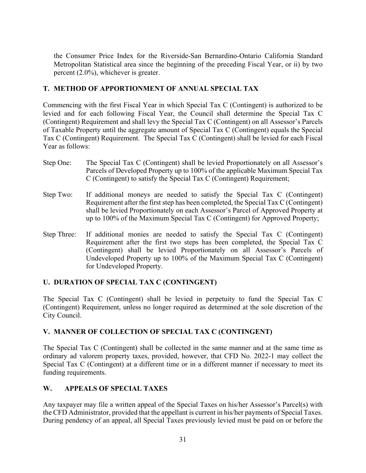the Consumer Price Index for the Riverside-San Bernardino-Ontario California Standard Metropolitan Statistical area since the beginning of the preceding Fiscal Year, or ii) by two percent (2.0%), whichever is greater.

# **T. METHOD OF APPORTIONMENT OF ANNUAL SPECIAL TAX**

Commencing with the first Fiscal Year in which Special Tax C (Contingent) is authorized to be levied and for each following Fiscal Year, the Council shall determine the Special Tax C (Contingent) Requirement and shall levy the Special Tax C (Contingent) on all Assessor's Parcels of Taxable Property until the aggregate amount of Special Tax C (Contingent) equals the Special Tax C (Contingent) Requirement. The Special Tax C (Contingent) shall be levied for each Fiscal Year as follows:

- Step One: The Special Tax C (Contingent) shall be levied Proportionately on all Assessor's Parcels of Developed Property up to 100% of the applicable Maximum Special Tax C (Contingent) to satisfy the Special Tax C (Contingent) Requirement;
- Step Two: If additional moneys are needed to satisfy the Special Tax C (Contingent) Requirement after the first step has been completed, the Special Tax C (Contingent) shall be levied Proportionately on each Assessor's Parcel of Approved Property at up to 100% of the Maximum Special Tax C (Contingent) for Approved Property;
- Step Three: If additional monies are needed to satisfy the Special Tax C (Contingent) Requirement after the first two steps has been completed, the Special Tax C (Contingent) shall be levied Proportionately on all Assessor's Parcels of Undeveloped Property up to 100% of the Maximum Special Tax C (Contingent) for Undeveloped Property.

# **U. DURATION OF SPECIAL TAX C (CONTINGENT)**

The Special Tax C (Contingent) shall be levied in perpetuity to fund the Special Tax C (Contingent) Requirement, unless no longer required as determined at the sole discretion of the City Council.

# **V. MANNER OF COLLECTION OF SPECIAL TAX C (CONTINGENT)**

The Special Tax C (Contingent) shall be collected in the same manner and at the same time as ordinary ad valorem property taxes, provided, however, that CFD No. 2022-1 may collect the Special Tax C (Contingent) at a different time or in a different manner if necessary to meet its funding requirements.

# **W. APPEALS OF SPECIAL TAXES**

Any taxpayer may file a written appeal of the Special Taxes on his/her Assessor's Parcel(s) with the CFD Administrator, provided that the appellant is current in his/her payments of Special Taxes. During pendency of an appeal, all Special Taxes previously levied must be paid on or before the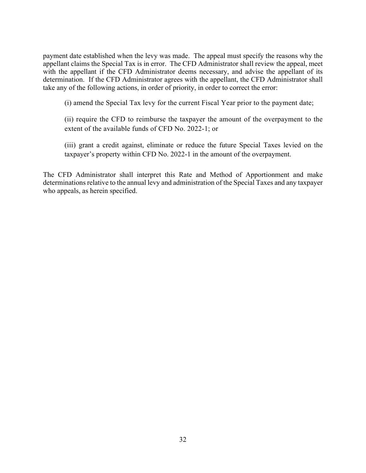payment date established when the levy was made. The appeal must specify the reasons why the appellant claims the Special Tax is in error. The CFD Administrator shall review the appeal, meet with the appellant if the CFD Administrator deems necessary, and advise the appellant of its determination. If the CFD Administrator agrees with the appellant, the CFD Administrator shall take any of the following actions, in order of priority, in order to correct the error:

(i) amend the Special Tax levy for the current Fiscal Year prior to the payment date;

(ii) require the CFD to reimburse the taxpayer the amount of the overpayment to the extent of the available funds of CFD No. 2022-1; or

(iii) grant a credit against, eliminate or reduce the future Special Taxes levied on the taxpayer's property within CFD No. 2022-1 in the amount of the overpayment.

The CFD Administrator shall interpret this Rate and Method of Apportionment and make determinations relative to the annual levy and administration of the Special Taxes and any taxpayer who appeals, as herein specified.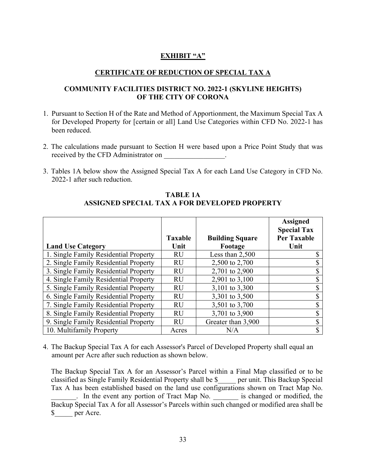# **EXHIBIT "A"**

## **CERTIFICATE OF REDUCTION OF SPECIAL TAX A**

### **COMMUNITY FACILITIES DISTRICT NO. 2022-1 (SKYLINE HEIGHTS) OF THE CITY OF CORONA**

- 1. Pursuant to Section H of the Rate and Method of Apportionment, the Maximum Special Tax A for Developed Property for [certain or all] Land Use Categories within CFD No. 2022-1 has been reduced.
- 2. The calculations made pursuant to Section H were based upon a Price Point Study that was received by the CFD Administrator on Fig. 2. The contract of the CFD Administrator on
- 3. Tables 1A below show the Assigned Special Tax A for each Land Use Category in CFD No. 2022-1 after such reduction.

|                                       |                |                        | <b>Assigned</b><br><b>Special Tax</b> |
|---------------------------------------|----------------|------------------------|---------------------------------------|
|                                       | <b>Taxable</b> | <b>Building Square</b> | <b>Per Taxable</b>                    |
| <b>Land Use Category</b>              | Unit           | Footage                | Unit                                  |
| 1. Single Family Residential Property | <b>RU</b>      | Less than $2,500$      |                                       |
| 2. Single Family Residential Property | <b>RU</b>      | 2,500 to 2,700         |                                       |
| 3. Single Family Residential Property | <b>RU</b>      | 2,701 to 2,900         |                                       |
| 4. Single Family Residential Property | <b>RU</b>      | 2,901 to 3,100         |                                       |
| 5. Single Family Residential Property | <b>RU</b>      | 3,101 to 3,300         |                                       |
| 6. Single Family Residential Property | <b>RU</b>      | 3,301 to 3,500         |                                       |
| 7. Single Family Residential Property | <b>RU</b>      | 3,501 to 3,700         |                                       |
| 8. Single Family Residential Property | <b>RU</b>      | 3,701 to 3,900         |                                       |
| 9. Single Family Residential Property | <b>RU</b>      | Greater than 3,900     |                                       |
| 10. Multifamily Property              | Acres          | N/A                    |                                       |

**TABLE 1A ASSIGNED SPECIAL TAX A FOR DEVELOPED PROPERTY**

4. The Backup Special Tax A for each Assessor's Parcel of Developed Property shall equal an amount per Acre after such reduction as shown below.

The Backup Special Tax A for an Assessor's Parcel within a Final Map classified or to be classified as Single Family Residential Property shall be \$\_\_\_\_\_ per unit. This Backup Special Tax A has been established based on the land use configurations shown on Tract Map No. . In the event any portion of Tract Map No.  $\qquad$  is changed or modified, the Backup Special Tax A for all Assessor's Parcels within such changed or modified area shall be \$\_\_\_\_\_ per Acre.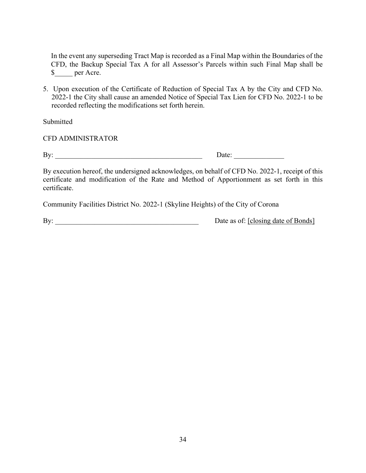In the event any superseding Tract Map is recorded as a Final Map within the Boundaries of the CFD, the Backup Special Tax A for all Assessor's Parcels within such Final Map shall be \$\_\_\_\_\_ per Acre.

5. Upon execution of the Certificate of Reduction of Special Tax A by the City and CFD No. 2022-1 the City shall cause an amended Notice of Special Tax Lien for CFD No. 2022-1 to be recorded reflecting the modifications set forth herein.

Submitted

CFD ADMINISTRATOR

By: \_\_\_\_\_\_\_\_\_\_\_\_\_\_\_\_\_\_\_\_\_\_\_\_\_\_\_\_\_\_\_\_\_\_\_\_\_\_\_\_\_ Date: \_\_\_\_\_\_\_\_\_\_\_\_\_\_

By execution hereof, the undersigned acknowledges, on behalf of CFD No. 2022-1, receipt of this certificate and modification of the Rate and Method of Apportionment as set forth in this certificate.

Community Facilities District No. 2022-1 (Skyline Heights) of the City of Corona

By: Date as of: [closing date of Bonds]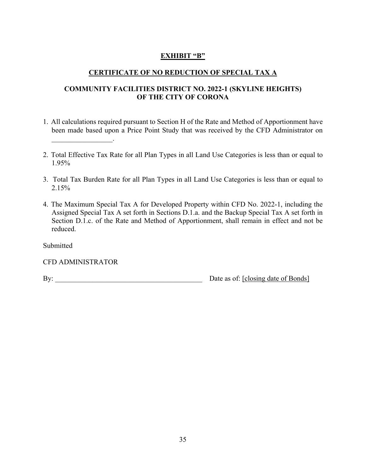# **EXHIBIT "B"**

# **CERTIFICATE OF NO REDUCTION OF SPECIAL TAX A**

# **COMMUNITY FACILITIES DISTRICT NO. 2022-1 (SKYLINE HEIGHTS) OF THE CITY OF CORONA**

- 1. All calculations required pursuant to Section H of the Rate and Method of Apportionment have been made based upon a Price Point Study that was received by the CFD Administrator on  $\mathcal{L}=\mathcal{L}^{\mathcal{L}}$  , where  $\mathcal{L}^{\mathcal{L}}$
- 2. Total Effective Tax Rate for all Plan Types in all Land Use Categories is less than or equal to 1.95%
- 3. Total Tax Burden Rate for all Plan Types in all Land Use Categories is less than or equal to 2.15%
- 4. The Maximum Special Tax A for Developed Property within CFD No. 2022-1, including the Assigned Special Tax A set forth in Sections D.1.a. and the Backup Special Tax A set forth in Section D.1.c. of the Rate and Method of Apportionment, shall remain in effect and not be reduced.

Submitted

CFD ADMINISTRATOR

By: \_\_\_\_\_\_\_\_\_\_\_\_\_\_\_\_\_\_\_\_\_\_\_\_\_\_\_\_\_\_\_\_\_\_\_\_\_\_\_\_\_ Date as of: [closing date of Bonds]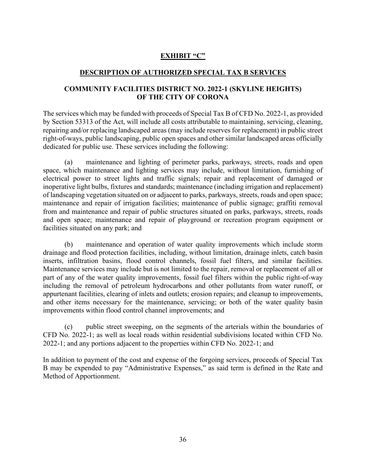# **EXHIBIT "C"**

### **DESCRIPTION OF AUTHORIZED SPECIAL TAX B SERVICES**

### **COMMUNITY FACILITIES DISTRICT NO. 2022-1 (SKYLINE HEIGHTS) OF THE CITY OF CORONA**

The services which may be funded with proceeds of Special Tax B of CFD No. 2022-1, as provided by Section 53313 of the Act, will include all costs attributable to maintaining, servicing, cleaning, repairing and/or replacing landscaped areas (may include reserves for replacement) in public street right-of-ways, public landscaping, public open spaces and other similar landscaped areas officially dedicated for public use. These services including the following:

maintenance and lighting of perimeter parks, parkways, streets, roads and open space, which maintenance and lighting services may include, without limitation, furnishing of electrical power to street lights and traffic signals; repair and replacement of damaged or inoperative light bulbs, fixtures and standards; maintenance (including irrigation and replacement) of landscaping vegetation situated on or adjacent to parks, parkways, streets, roads and open space; maintenance and repair of irrigation facilities; maintenance of public signage; graffiti removal from and maintenance and repair of public structures situated on parks, parkways, streets, roads and open space; maintenance and repair of playground or recreation program equipment or facilities situated on any park; and

(b) maintenance and operation of water quality improvements which include storm drainage and flood protection facilities, including, without limitation, drainage inlets, catch basin inserts, infiltration basins, flood control channels, fossil fuel filters, and similar facilities. Maintenance services may include but is not limited to the repair, removal or replacement of all or part of any of the water quality improvements, fossil fuel filters within the public right-of-way including the removal of petroleum hydrocarbons and other pollutants from water runoff, or appurtenant facilities, clearing of inlets and outlets; erosion repairs; and cleanup to improvements, and other items necessary for the maintenance, servicing; or both of the water quality basin improvements within flood control channel improvements; and

(c) public street sweeping, on the segments of the arterials within the boundaries of CFD No. 2022-1; as well as local roads within residential subdivisions located within CFD No. 2022-1; and any portions adjacent to the properties within CFD No. 2022-1; and

In addition to payment of the cost and expense of the forgoing services, proceeds of Special Tax B may be expended to pay "Administrative Expenses," as said term is defined in the Rate and Method of Apportionment.